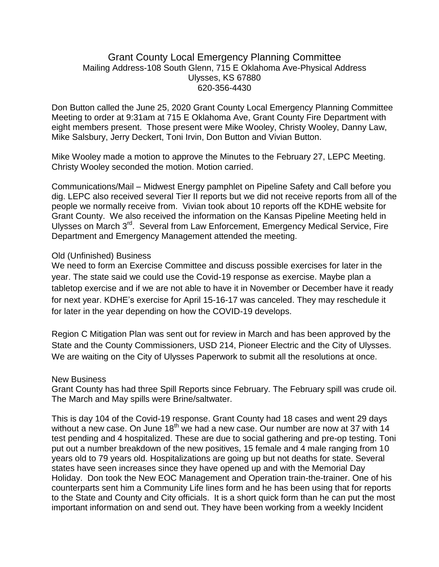## Grant County Local Emergency Planning Committee Mailing Address-108 South Glenn, 715 E Oklahoma Ave-Physical Address Ulysses, KS 67880 620-356-4430

Don Button called the June 25, 2020 Grant County Local Emergency Planning Committee Meeting to order at 9:31am at 715 E Oklahoma Ave, Grant County Fire Department with eight members present. Those present were Mike Wooley, Christy Wooley, Danny Law, Mike Salsbury, Jerry Deckert, Toni Irvin, Don Button and Vivian Button.

Mike Wooley made a motion to approve the Minutes to the February 27, LEPC Meeting. Christy Wooley seconded the motion. Motion carried.

Communications/Mail – Midwest Energy pamphlet on Pipeline Safety and Call before you dig. LEPC also received several Tier II reports but we did not receive reports from all of the people we normally receive from. Vivian took about 10 reports off the KDHE website for Grant County. We also received the information on the Kansas Pipeline Meeting held in Ulysses on March 3<sup>rd</sup>. Several from Law Enforcement, Emergency Medical Service, Fire Department and Emergency Management attended the meeting.

## Old (Unfinished) Business

We need to form an Exercise Committee and discuss possible exercises for later in the year. The state said we could use the Covid-19 response as exercise. Maybe plan a tabletop exercise and if we are not able to have it in November or December have it ready for next year. KDHE's exercise for April 15-16-17 was canceled. They may reschedule it for later in the year depending on how the COVID-19 develops.

Region C Mitigation Plan was sent out for review in March and has been approved by the State and the County Commissioners, USD 214, Pioneer Electric and the City of Ulysses. We are waiting on the City of Ulysses Paperwork to submit all the resolutions at once.

## New Business

Grant County has had three Spill Reports since February. The February spill was crude oil. The March and May spills were Brine/saltwater.

This is day 104 of the Covid-19 response. Grant County had 18 cases and went 29 days without a new case. On June  $18<sup>th</sup>$  we had a new case. Our number are now at 37 with 14 test pending and 4 hospitalized. These are due to social gathering and pre-op testing. Toni put out a number breakdown of the new positives, 15 female and 4 male ranging from 10 years old to 79 years old. Hospitalizations are going up but not deaths for state. Several states have seen increases since they have opened up and with the Memorial Day Holiday. Don took the New EOC Management and Operation train-the-trainer. One of his counterparts sent him a Community Life lines form and he has been using that for reports to the State and County and City officials. It is a short quick form than he can put the most important information on and send out. They have been working from a weekly Incident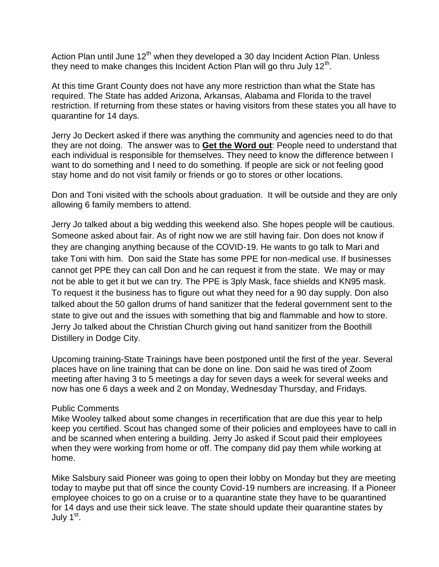Action Plan until June  $12<sup>th</sup>$  when they developed a 30 day Incident Action Plan. Unless they need to make changes this Incident Action Plan will go thru July 12<sup>th</sup>.

At this time Grant County does not have any more restriction than what the State has required. The State has added Arizona, Arkansas, Alabama and Florida to the travel restriction. If returning from these states or having visitors from these states you all have to quarantine for 14 days.

Jerry Jo Deckert asked if there was anything the community and agencies need to do that they are not doing. The answer was to **Get the Word out**: People need to understand that each individual is responsible for themselves. They need to know the difference between I want to do something and I need to do something. If people are sick or not feeling good stay home and do not visit family or friends or go to stores or other locations.

Don and Toni visited with the schools about graduation. It will be outside and they are only allowing 6 family members to attend.

Jerry Jo talked about a big wedding this weekend also. She hopes people will be cautious. Someone asked about fair. As of right now we are still having fair. Don does not know if they are changing anything because of the COVID-19. He wants to go talk to Mari and take Toni with him. Don said the State has some PPE for non-medical use. If businesses cannot get PPE they can call Don and he can request it from the state. We may or may not be able to get it but we can try. The PPE is 3ply Mask, face shields and KN95 mask. To request it the business has to figure out what they need for a 90 day supply. Don also talked about the 50 gallon drums of hand sanitizer that the federal government sent to the state to give out and the issues with something that big and flammable and how to store. Jerry Jo talked about the Christian Church giving out hand sanitizer from the Boothill Distillery in Dodge City.

Upcoming training-State Trainings have been postponed until the first of the year. Several places have on line training that can be done on line. Don said he was tired of Zoom meeting after having 3 to 5 meetings a day for seven days a week for several weeks and now has one 6 days a week and 2 on Monday, Wednesday Thursday, and Fridays.

## Public Comments

Mike Wooley talked about some changes in recertification that are due this year to help keep you certified. Scout has changed some of their policies and employees have to call in and be scanned when entering a building. Jerry Jo asked if Scout paid their employees when they were working from home or off. The company did pay them while working at home.

Mike Salsbury said Pioneer was going to open their lobby on Monday but they are meeting today to maybe put that off since the county Covid-19 numbers are increasing. If a Pioneer employee choices to go on a cruise or to a quarantine state they have to be quarantined for 14 days and use their sick leave. The state should update their quarantine states by July 1<sup>st</sup>.